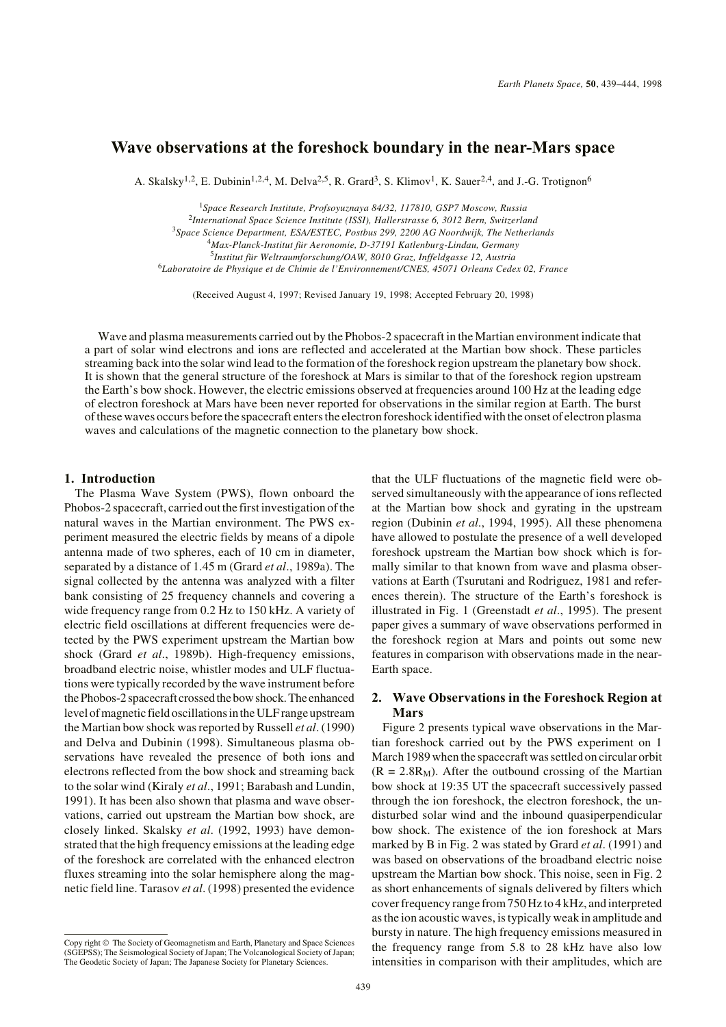# **Wave observations at the foreshock boundary in the near-Mars space**

A. Skalsky<sup>1,2</sup>, E. Dubinin<sup>1,2,4</sup>, M. Delva<sup>2,5</sup>, R. Grard<sup>3</sup>, S. Klimov<sup>1</sup>, K. Sauer<sup>2,4</sup>, and J.-G. Trotignon<sup>6</sup>

*Space Research Institute, Profsoyuznaya 84/32, 117810, GSP7 Moscow, Russia International Space Science Institute (ISSI), Hallerstrasse 6, 3012 Bern, Switzerland Space Science Department, ESA/ESTEC, Postbus 299, 2200 AG Noordwijk, The Netherlands Max-Planck-Institut für Aeronomie, D-37191 Katlenburg-Lindau, Germany Institut für Weltraumforschung/OAW, 8010 Graz, Inffeldgasse 12, Austria Laboratoire de Physique et de Chimie de l'Environnement/CNES, 45071 Orleans Cedex 02, France*

(Received August 4, 1997; Revised January 19, 1998; Accepted February 20, 1998)

Wave and plasma measurements carried out by the Phobos-2 spacecraft in the Martian environment indicate that a part of solar wind electrons and ions are reflected and accelerated at the Martian bow shock. These particles streaming back into the solar wind lead to the formation of the foreshock region upstream the planetary bow shock. It is shown that the general structure of the foreshock at Mars is similar to that of the foreshock region upstream the Earth's bow shock. However, the electric emissions observed at frequencies around 100 Hz at the leading edge of electron foreshock at Mars have been never reported for observations in the similar region at Earth. The burst of these waves occurs before the spacecraft enters the electron foreshock identified with the onset of electron plasma waves and calculations of the magnetic connection to the planetary bow shock.

#### **1. Introduction**

The Plasma Wave System (PWS), flown onboard the Phobos-2 spacecraft, carried out the first investigation of the natural waves in the Martian environment. The PWS experiment measured the electric fields by means of a dipole antenna made of two spheres, each of 10 cm in diameter, separated by a distance of 1.45 m (Grard *et al*., 1989a). The signal collected by the antenna was analyzed with a filter bank consisting of 25 frequency channels and covering a wide frequency range from 0.2 Hz to 150 kHz. A variety of electric field oscillations at different frequencies were detected by the PWS experiment upstream the Martian bow shock (Grard *et al*., 1989b). High-frequency emissions, broadband electric noise, whistler modes and ULF fluctuations were typically recorded by the wave instrument before the Phobos-2 spacecraft crossed the bow shock. The enhanced level of magnetic field oscillations in the ULF range upstream the Martian bow shock was reported by Russell *et al*. (1990) and Delva and Dubinin (1998). Simultaneous plasma observations have revealed the presence of both ions and electrons reflected from the bow shock and streaming back to the solar wind (Kiraly *et al*., 1991; Barabash and Lundin, 1991). It has been also shown that plasma and wave observations, carried out upstream the Martian bow shock, are closely linked. Skalsky *et al*. (1992, 1993) have demonstrated that the high frequency emissions at the leading edge of the foreshock are correlated with the enhanced electron fluxes streaming into the solar hemisphere along the magnetic field line. Tarasov *et al*. (1998) presented the evidence

that the ULF fluctuations of the magnetic field were observed simultaneously with the appearance of ions reflected at the Martian bow shock and gyrating in the upstream region (Dubinin *et al*., 1994, 1995). All these phenomena have allowed to postulate the presence of a well developed foreshock upstream the Martian bow shock which is formally similar to that known from wave and plasma observations at Earth (Tsurutani and Rodriguez, 1981 and references therein). The structure of the Earth's foreshock is illustrated in Fig. 1 (Greenstadt *et al*., 1995). The present paper gives a summary of wave observations performed in the foreshock region at Mars and points out some new features in comparison with observations made in the near-Earth space.

### **2. Wave Observations in the Foreshock Region at Mars**

Figure 2 presents typical wave observations in the Martian foreshock carried out by the PWS experiment on 1 March 1989 when the spacecraft was settled on circular orbit  $(R = 2.8R_M)$ . After the outbound crossing of the Martian bow shock at 19:35 UT the spacecraft successively passed through the ion foreshock, the electron foreshock, the undisturbed solar wind and the inbound quasiperpendicular bow shock. The existence of the ion foreshock at Mars marked by B in Fig. 2 was stated by Grard *et al*. (1991) and was based on observations of the broadband electric noise upstream the Martian bow shock. This noise, seen in Fig. 2 as short enhancements of signals delivered by filters which cover frequency range from 750 Hz to 4 kHz, and interpreted as the ion acoustic waves, is typically weak in amplitude and bursty in nature. The high frequency emissions measured in the frequency range from 5.8 to 28 kHz have also low intensities in comparison with their amplitudes, which are

Copy right © The Society of Geomagnetism and Earth, Planetary and Space Sciences (SGEPSS); The Seismological Society of Japan; The Volcanological Society of Japan; The Geodetic Society of Japan; The Japanese Society for Planetary Sciences.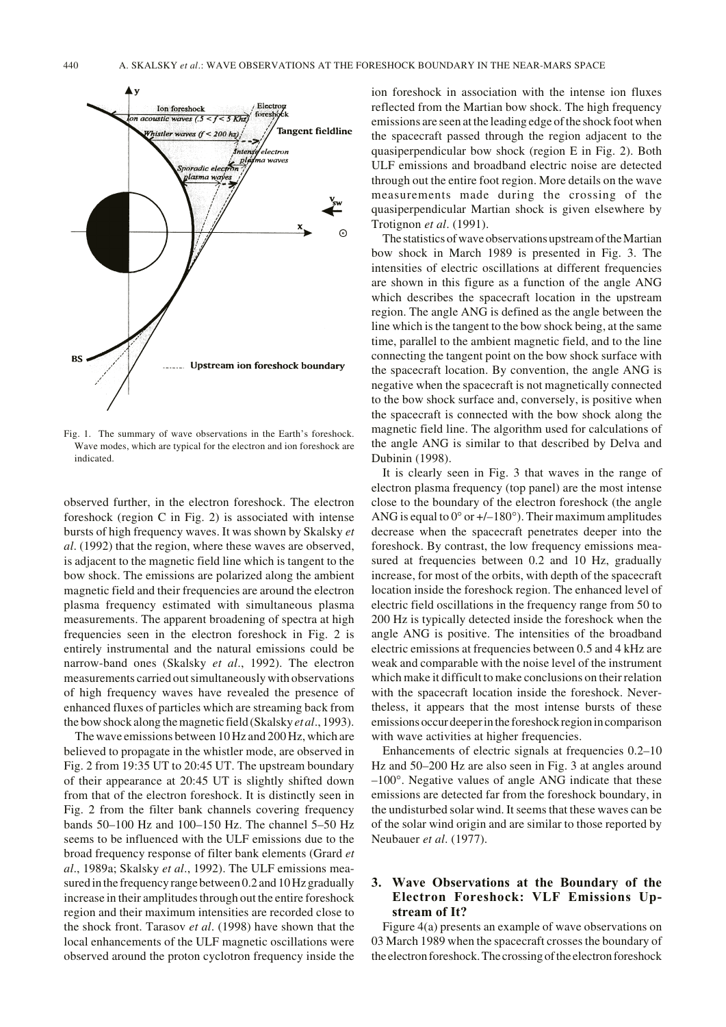

Fig. 1. The summary of wave observations in the Earth's foreshock. Wave modes, which are typical for the electron and ion foreshock are indicated.

observed further, in the electron foreshock. The electron foreshock (region C in Fig. 2) is associated with intense bursts of high frequency waves. It was shown by Skalsky *et al*. (1992) that the region, where these waves are observed, is adjacent to the magnetic field line which is tangent to the bow shock. The emissions are polarized along the ambient magnetic field and their frequencies are around the electron plasma frequency estimated with simultaneous plasma measurements. The apparent broadening of spectra at high frequencies seen in the electron foreshock in Fig. 2 is entirely instrumental and the natural emissions could be narrow-band ones (Skalsky *et al*., 1992). The electron measurements carried out simultaneously with observations of high frequency waves have revealed the presence of enhanced fluxes of particles which are streaming back from the bow shock along the magnetic field (Skalsky *et al*., 1993).

The wave emissions between 10 Hz and 200 Hz, which are believed to propagate in the whistler mode, are observed in Fig. 2 from 19:35 UT to 20:45 UT. The upstream boundary of their appearance at 20:45 UT is slightly shifted down from that of the electron foreshock. It is distinctly seen in Fig. 2 from the filter bank channels covering frequency bands 50–100 Hz and 100–150 Hz. The channel 5–50 Hz seems to be influenced with the ULF emissions due to the broad frequency response of filter bank elements (Grard *et al*., 1989a; Skalsky *et al*., 1992). The ULF emissions measured in the frequency range between 0.2 and 10 Hz gradually increase in their amplitudes through out the entire foreshock region and their maximum intensities are recorded close to the shock front. Tarasov *et al*. (1998) have shown that the local enhancements of the ULF magnetic oscillations were observed around the proton cyclotron frequency inside the ion foreshock in association with the intense ion fluxes reflected from the Martian bow shock. The high frequency emissions are seen at the leading edge of the shock foot when the spacecraft passed through the region adjacent to the quasiperpendicular bow shock (region E in Fig. 2). Both ULF emissions and broadband electric noise are detected through out the entire foot region. More details on the wave measurements made during the crossing of the quasiperpendicular Martian shock is given elsewhere by Trotignon *et al*. (1991).

The statistics of wave observations upstream of the Martian bow shock in March 1989 is presented in Fig. 3. The intensities of electric oscillations at different frequencies are shown in this figure as a function of the angle ANG which describes the spacecraft location in the upstream region. The angle ANG is defined as the angle between the line which is the tangent to the bow shock being, at the same time, parallel to the ambient magnetic field, and to the line connecting the tangent point on the bow shock surface with the spacecraft location. By convention, the angle ANG is negative when the spacecraft is not magnetically connected to the bow shock surface and, conversely, is positive when the spacecraft is connected with the bow shock along the magnetic field line. The algorithm used for calculations of the angle ANG is similar to that described by Delva and Dubinin (1998).

It is clearly seen in Fig. 3 that waves in the range of electron plasma frequency (top panel) are the most intense close to the boundary of the electron foreshock (the angle ANG is equal to  $0^{\circ}$  or  $+/-180^{\circ}$ ). Their maximum amplitudes decrease when the spacecraft penetrates deeper into the foreshock. By contrast, the low frequency emissions measured at frequencies between 0.2 and 10 Hz, gradually increase, for most of the orbits, with depth of the spacecraft location inside the foreshock region. The enhanced level of electric field oscillations in the frequency range from 50 to 200 Hz is typically detected inside the foreshock when the angle ANG is positive. The intensities of the broadband electric emissions at frequencies between 0.5 and 4 kHz are weak and comparable with the noise level of the instrument which make it difficult to make conclusions on their relation with the spacecraft location inside the foreshock. Nevertheless, it appears that the most intense bursts of these emissions occur deeper in the foreshock region in comparison with wave activities at higher frequencies.

Enhancements of electric signals at frequencies 0.2–10 Hz and 50–200 Hz are also seen in Fig. 3 at angles around –100°. Negative values of angle ANG indicate that these emissions are detected far from the foreshock boundary, in the undisturbed solar wind. It seems that these waves can be of the solar wind origin and are similar to those reported by Neubauer *et al*. (1977).

## **3. Wave Observations at the Boundary of the Electron Foreshock: VLF Emissions Upstream of It?**

Figure 4(a) presents an example of wave observations on 03 March 1989 when the spacecraft crosses the boundary of the electron foreshock. The crossing of the electron foreshock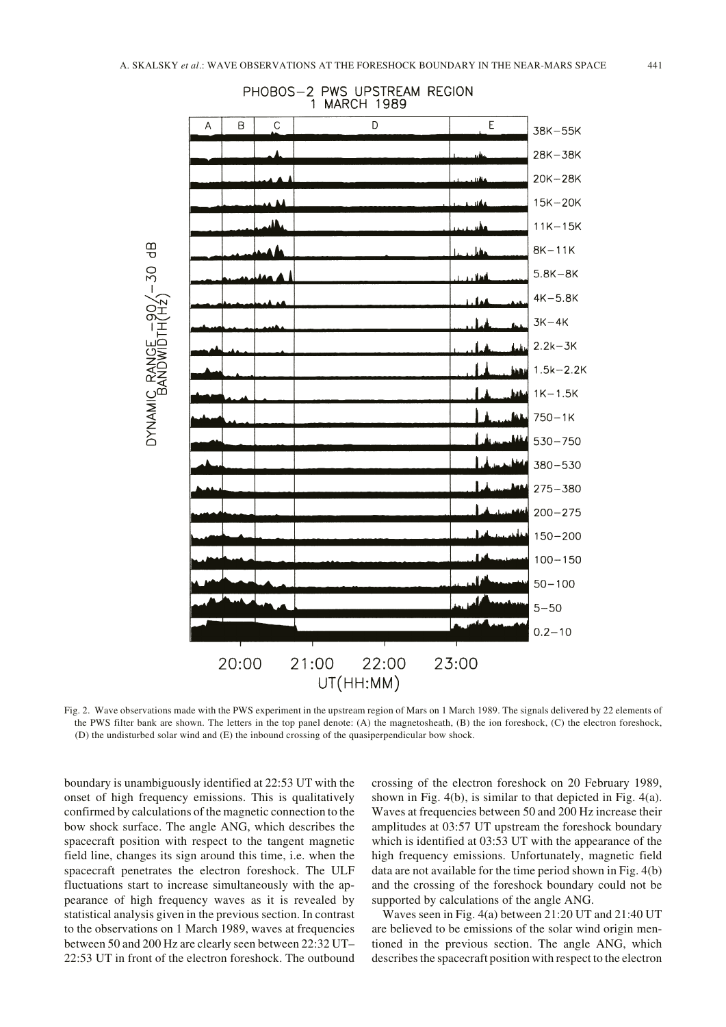

PHOBOS-2 PWS UPSTREAM REGION 1 MARCH 1989

Fig. 2. Wave observations made with the PWS experiment in the upstream region of Mars on 1 March 1989. The signals delivered by 22 elements of the PWS filter bank are shown. The letters in the top panel denote: (A) the magnetosheath, (B) the ion foreshock, (C) the electron foreshock, (D) the undisturbed solar wind and (E) the inbound crossing of the quasiperpendicular bow shock.

boundary is unambiguously identified at 22:53 UT with the onset of high frequency emissions. This is qualitatively confirmed by calculations of the magnetic connection to the bow shock surface. The angle ANG, which describes the spacecraft position with respect to the tangent magnetic field line, changes its sign around this time, i.e. when the spacecraft penetrates the electron foreshock. The ULF fluctuations start to increase simultaneously with the appearance of high frequency waves as it is revealed by statistical analysis given in the previous section. In contrast to the observations on 1 March 1989, waves at frequencies between 50 and 200 Hz are clearly seen between 22:32 UT– 22:53 UT in front of the electron foreshock. The outbound

crossing of the electron foreshock on 20 February 1989, shown in Fig. 4(b), is similar to that depicted in Fig. 4(a). Waves at frequencies between 50 and 200 Hz increase their amplitudes at 03:57 UT upstream the foreshock boundary which is identified at 03:53 UT with the appearance of the high frequency emissions. Unfortunately, magnetic field data are not available for the time period shown in Fig. 4(b) and the crossing of the foreshock boundary could not be supported by calculations of the angle ANG.

Waves seen in Fig. 4(a) between 21:20 UT and 21:40 UT are believed to be emissions of the solar wind origin mentioned in the previous section. The angle ANG, which describes the spacecraft position with respect to the electron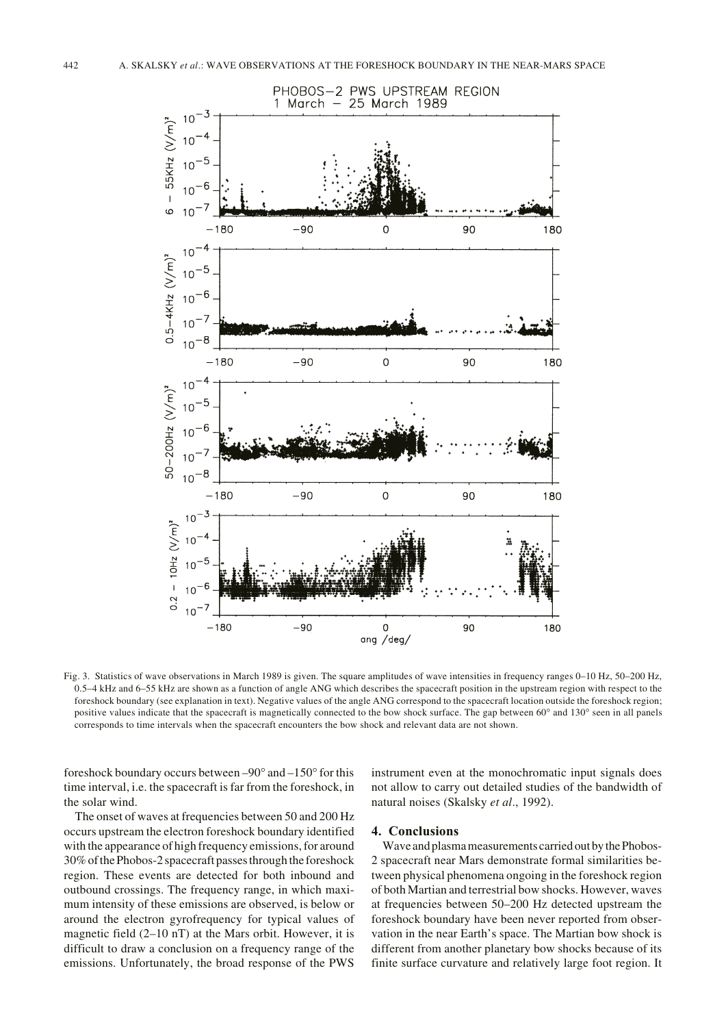

Fig. 3. Statistics of wave observations in March 1989 is given. The square amplitudes of wave intensities in frequency ranges 0–10 Hz, 50–200 Hz, 0.5–4 kHz and 6–55 kHz are shown as a function of angle ANG which describes the spacecraft position in the upstream region with respect to the foreshock boundary (see explanation in text). Negative values of the angle ANG correspond to the spacecraft location outside the foreshock region; positive values indicate that the spacecraft is magnetically connected to the bow shock surface. The gap between 60° and 130° seen in all panels corresponds to time intervals when the spacecraft encounters the bow shock and relevant data are not shown.

foreshock boundary occurs between –90° and –150° for this time interval, i.e. the spacecraft is far from the foreshock, in the solar wind.

The onset of waves at frequencies between 50 and 200 Hz occurs upstream the electron foreshock boundary identified with the appearance of high frequency emissions, for around 30% of the Phobos-2 spacecraft passes through the foreshock region. These events are detected for both inbound and outbound crossings. The frequency range, in which maximum intensity of these emissions are observed, is below or around the electron gyrofrequency for typical values of magnetic field (2–10 nT) at the Mars orbit. However, it is difficult to draw a conclusion on a frequency range of the emissions. Unfortunately, the broad response of the PWS instrument even at the monochromatic input signals does not allow to carry out detailed studies of the bandwidth of natural noises (Skalsky *et al*., 1992).

### **4. Conclusions**

Wave and plasma measurements carried out by the Phobos-2 spacecraft near Mars demonstrate formal similarities between physical phenomena ongoing in the foreshock region of both Martian and terrestrial bow shocks. However, waves at frequencies between 50–200 Hz detected upstream the foreshock boundary have been never reported from observation in the near Earth's space. The Martian bow shock is different from another planetary bow shocks because of its finite surface curvature and relatively large foot region. It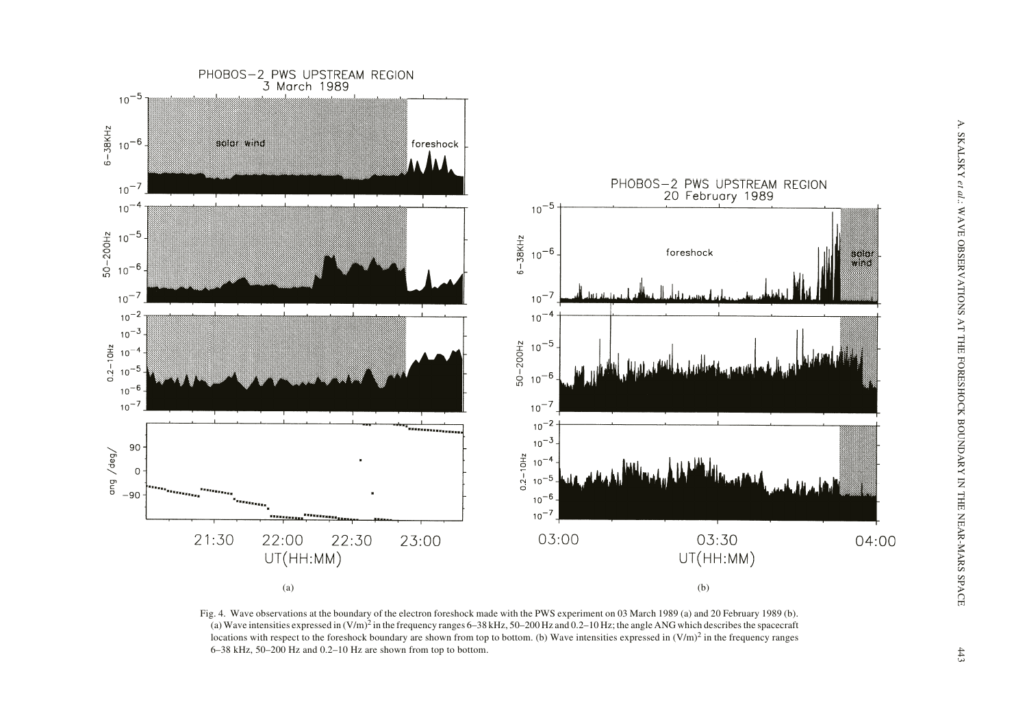

Fig. 4. Wave observations at the boundary of the electron foreshock made with the PWS experiment on 03 March 1989 (a) and 20 February 1989 (b). (a) Wave intensities expressed in  $(V/m)^2$  in the frequency ranges 6–38 kHz, 50–200 Hz and 0.2–10 Hz; the angle ANG which describes the spacecraft locations with respect to the foreshock boundary are shown from top to bottom. (b) Wave intensities expressed in  $(V/m)^2$  in the frequency ranges 6–38 kHz, 50–200 Hz and 0.2–10 Hz are shown from top to bottom.